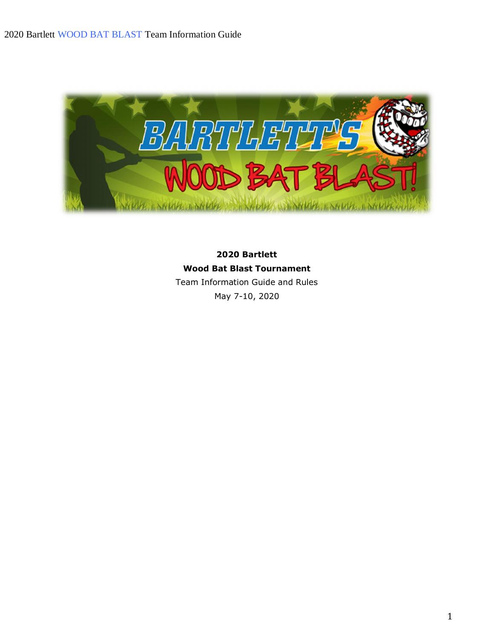

**2020 Bartlett Wood Bat Blast Tournament** Team Information Guide and Rules May 7-10, 2020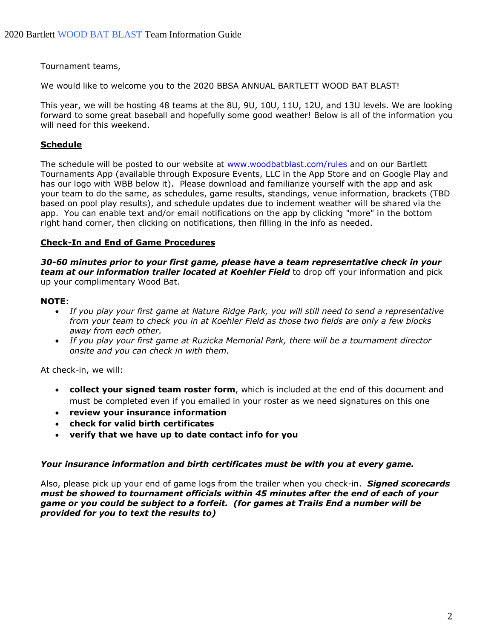Tournament teams,

We would like to welcome you to the 2020 BBSA ANNUAL BARTLETT WOOD BAT BLAST!

This year, we will be hosting 48 teams at the 8U, 9U, 10U, 11U, 12U, and 13U levels. We are looking forward to some great baseball and hopefully some good weather! Below is all of the information you will need for this weekend.

## **Schedule**

The schedule will be posted to our website at www.woodbatblast.com/rules and on our Bartlett Tournaments App (available through Exposure Events, LLC in the App Store and on Google Play and has our logo with WBB below it). Please download and familiarize yourself with the app and ask your team to do the same, as schedules, game results, standings, venue information, brackets (TBD based on pool play results), and schedule updates due to inclement weather will be shared via the app. You can enable text and/or email notifications on the app by clicking "more" in the bottom right hand corner, then clicking on notifications, then filling in the info as needed.

### **Check-In and End of Game Procedures**

*30-60 minutes prior to your first game, please have a team representative check in your team at our information trailer located at Koehler Field* to drop off your information and pick up your complimentary Wood Bat.

### **NOTE**:

- · *If you play your first game at Nature Ridge Park, you will still need to send a representative from your team to check you in at Koehler Field as those two fields are only a few blocks away from each other.*
- · *If you play your first game at Ruzicka Memorial Park, there will be a tournament director onsite and you can check in with them.*

At check-in, we will:

- · **collect your signed team roster form**, which is included at the end of this document and must be completed even if you emailed in your roster as we need signatures on this one
- · **review your insurance information**
- · **check for valid birth certificates**
- · **verify that we have up to date contact info for you**

#### *Your insurance information and birth certificates must be with you at every game.*

Also, please pick up your end of game logs from the trailer when you check-in. *Signed scorecards must be showed to tournament officials within 45 minutes after the end of each of your game or you could be subject to a forfeit. (for games at Trails End a number will be provided for you to text the results to)*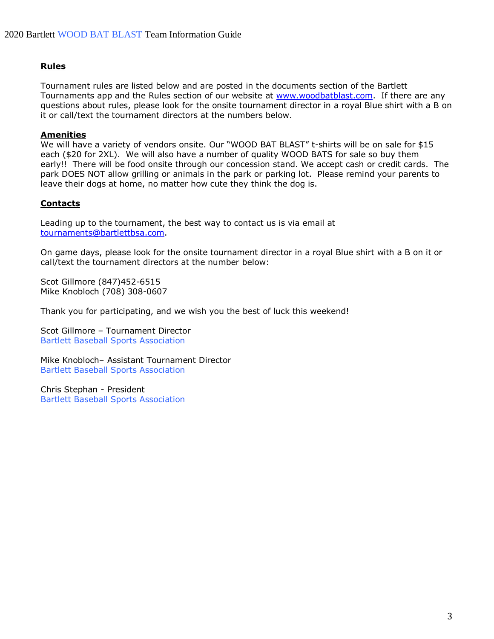### **Rules**

Tournament rules are listed below and are posted in the documents section of the Bartlett Tournaments app and the Rules section of our website at www.woodbatblast.com. If there are any questions about rules, please look for the onsite tournament director in a royal Blue shirt with a B on it or call/text the tournament directors at the numbers below.

#### **Amenities**

We will have a variety of vendors onsite. Our "WOOD BAT BLAST" t-shirts will be on sale for \$15 each (\$20 for 2XL). We will also have a number of quality WOOD BATS for sale so buy them early!! There will be food onsite through our concession stand. We accept cash or credit cards. The park DOES NOT allow grilling or animals in the park or parking lot. Please remind your parents to leave their dogs at home, no matter how cute they think the dog is.

#### **Contacts**

Leading up to the tournament, the best way to contact us is via email at tournaments@bartlettbsa.com.

On game days, please look for the onsite tournament director in a royal Blue shirt with a B on it or call/text the tournament directors at the number below:

Scot Gillmore (847)452-6515 Mike Knobloch (708) 308-0607

Thank you for participating, and we wish you the best of luck this weekend!

Scot Gillmore – Tournament Director Bartlett Baseball Sports Association

Mike Knobloch– Assistant Tournament Director Bartlett Baseball Sports Association

Chris Stephan - President Bartlett Baseball Sports Association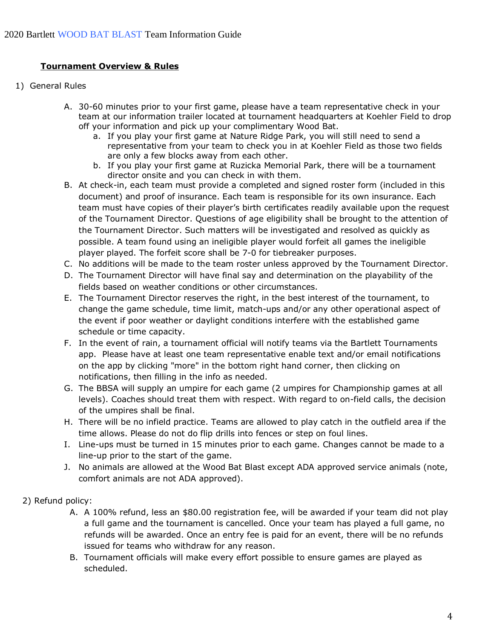## **Tournament Overview & Rules**

- 1) General Rules
	- A. 30-60 minutes prior to your first game, please have a team representative check in your team at our information trailer located at tournament headquarters at Koehler Field to drop off your information and pick up your complimentary Wood Bat.
		- a. If you play your first game at Nature Ridge Park, you will still need to send a representative from your team to check you in at Koehler Field as those two fields are only a few blocks away from each other.
		- b. If you play your first game at Ruzicka Memorial Park, there will be a tournament director onsite and you can check in with them.
	- B. At check-in, each team must provide a completed and signed roster form (included in this document) and proof of insurance. Each team is responsible for its own insurance. Each team must have copies of their player's birth certificates readily available upon the request of the Tournament Director. Questions of age eligibility shall be brought to the attention of the Tournament Director. Such matters will be investigated and resolved as quickly as possible. A team found using an ineligible player would forfeit all games the ineligible player played. The forfeit score shall be 7-0 for tiebreaker purposes.
	- C. No additions will be made to the team roster unless approved by the Tournament Director.
	- D. The Tournament Director will have final say and determination on the playability of the fields based on weather conditions or other circumstances.
	- E. The Tournament Director reserves the right, in the best interest of the tournament, to change the game schedule, time limit, match-ups and/or any other operational aspect of the event if poor weather or daylight conditions interfere with the established game schedule or time capacity.
	- F. In the event of rain, a tournament official will notify teams via the Bartlett Tournaments app. Please have at least one team representative enable text and/or email notifications on the app by clicking "more" in the bottom right hand corner, then clicking on notifications, then filling in the info as needed.
	- G. The BBSA will supply an umpire for each game (2 umpires for Championship games at all levels). Coaches should treat them with respect. With regard to on-field calls, the decision of the umpires shall be final.
	- H. There will be no infield practice. Teams are allowed to play catch in the outfield area if the time allows. Please do not do flip drills into fences or step on foul lines.
	- I. Line-ups must be turned in 15 minutes prior to each game. Changes cannot be made to a line-up prior to the start of the game.
	- J. No animals are allowed at the Wood Bat Blast except ADA approved service animals (note, comfort animals are not ADA approved).

### 2) Refund policy:

- A. A 100% refund, less an \$80.00 registration fee, will be awarded if your team did not play a full game and the tournament is cancelled. Once your team has played a full game, no refunds will be awarded. Once an entry fee is paid for an event, there will be no refunds issued for teams who withdraw for any reason.
- B. Tournament officials will make every effort possible to ensure games are played as scheduled.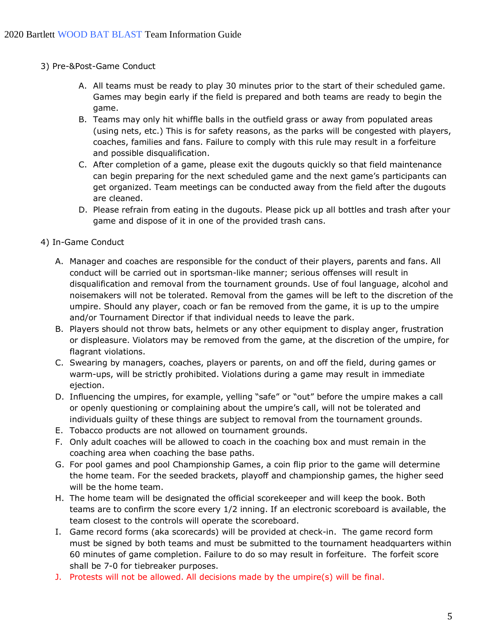- 3) Pre-&Post-Game Conduct
	- A. All teams must be ready to play 30 minutes prior to the start of their scheduled game. Games may begin early if the field is prepared and both teams are ready to begin the game.
	- B. Teams may only hit whiffle balls in the outfield grass or away from populated areas (using nets, etc.) This is for safety reasons, as the parks will be congested with players, coaches, families and fans. Failure to comply with this rule may result in a forfeiture and possible disqualification.
	- C. After completion of a game, please exit the dugouts quickly so that field maintenance can begin preparing for the next scheduled game and the next game's participants can get organized. Team meetings can be conducted away from the field after the dugouts are cleaned.
	- D. Please refrain from eating in the dugouts. Please pick up all bottles and trash after your game and dispose of it in one of the provided trash cans.
- 4) In-Game Conduct
	- A. Manager and coaches are responsible for the conduct of their players, parents and fans. All conduct will be carried out in sportsman-like manner; serious offenses will result in disqualification and removal from the tournament grounds. Use of foul language, alcohol and noisemakers will not be tolerated. Removal from the games will be left to the discretion of the umpire. Should any player, coach or fan be removed from the game, it is up to the umpire and/or Tournament Director if that individual needs to leave the park.
	- B. Players should not throw bats, helmets or any other equipment to display anger, frustration or displeasure. Violators may be removed from the game, at the discretion of the umpire, for flagrant violations.
	- C. Swearing by managers, coaches, players or parents, on and off the field, during games or warm-ups, will be strictly prohibited. Violations during a game may result in immediate ejection.
	- D. Influencing the umpires, for example, yelling "safe" or "out" before the umpire makes a call or openly questioning or complaining about the umpire's call, will not be tolerated and individuals guilty of these things are subject to removal from the tournament grounds.
	- E. Tobacco products are not allowed on tournament grounds.
	- F. Only adult coaches will be allowed to coach in the coaching box and must remain in the coaching area when coaching the base paths.
	- G. For pool games and pool Championship Games, a coin flip prior to the game will determine the home team. For the seeded brackets, playoff and championship games, the higher seed will be the home team.
	- H. The home team will be designated the official scorekeeper and will keep the book. Both teams are to confirm the score every 1/2 inning. If an electronic scoreboard is available, the team closest to the controls will operate the scoreboard.
	- I. Game record forms (aka scorecards) will be provided at check-in. The game record form must be signed by both teams and must be submitted to the tournament headquarters within 60 minutes of game completion. Failure to do so may result in forfeiture. The forfeit score shall be 7-0 for tiebreaker purposes.
	- J. Protests will not be allowed. All decisions made by the umpire(s) will be final.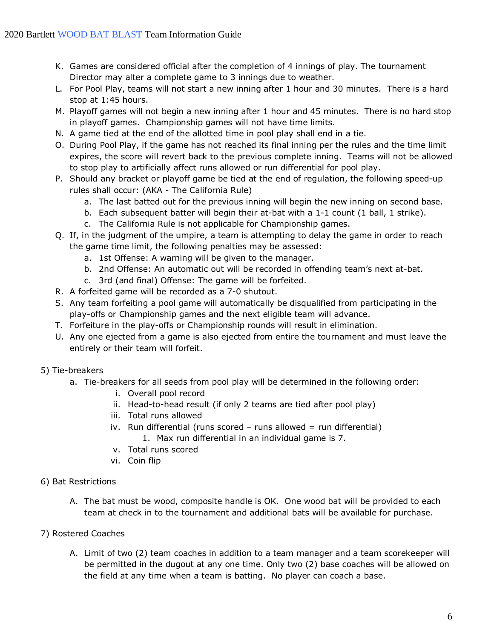- K. Games are considered official after the completion of 4 innings of play. The tournament Director may alter a complete game to 3 innings due to weather.
- L. For Pool Play, teams will not start a new inning after 1 hour and 30 minutes. There is a hard stop at 1:45 hours.
- M. Playoff games will not begin a new inning after 1 hour and 45 minutes. There is no hard stop in playoff games. Championship games will not have time limits.
- N. A game tied at the end of the allotted time in pool play shall end in a tie.
- O. During Pool Play, if the game has not reached its final inning per the rules and the time limit expires, the score will revert back to the previous complete inning. Teams will not be allowed to stop play to artificially affect runs allowed or run differential for pool play.
- P. Should any bracket or playoff game be tied at the end of regulation, the following speed-up rules shall occur: (AKA - The California Rule)
	- a. The last batted out for the previous inning will begin the new inning on second base.
	- b. Each subsequent batter will begin their at-bat with a 1-1 count (1 ball, 1 strike).
	- c. The California Rule is not applicable for Championship games.
- Q. If, in the judgment of the umpire, a team is attempting to delay the game in order to reach the game time limit, the following penalties may be assessed:
	- a. 1st Offense: A warning will be given to the manager.
	- b. 2nd Offense: An automatic out will be recorded in offending team's next at-bat.
	- c. 3rd (and final) Offense: The game will be forfeited.
- R. A forfeited game will be recorded as a 7-0 shutout.
- S. Any team forfeiting a pool game will automatically be disqualified from participating in the play-offs or Championship games and the next eligible team will advance.
- T. Forfeiture in the play-offs or Championship rounds will result in elimination.
- U. Any one ejected from a game is also ejected from entire the tournament and must leave the entirely or their team will forfeit.
- 5) Tie-breakers
	- a. Tie-breakers for all seeds from pool play will be determined in the following order:
		- i. Overall pool record
		- ii. Head-to-head result (if only 2 teams are tied after pool play)
		- iii. Total runs allowed
		- iv. Run differential (runs scored runs allowed = run differential) 1. Max run differential in an individual game is 7.
		- v. Total runs scored
		- vi. Coin flip
- 6) Bat Restrictions
	- A. The bat must be wood, composite handle is OK. One wood bat will be provided to each team at check in to the tournament and additional bats will be available for purchase.
- 7) Rostered Coaches
	- A. Limit of two (2) team coaches in addition to a team manager and a team scorekeeper will be permitted in the dugout at any one time. Only two (2) base coaches will be allowed on the field at any time when a team is batting. No player can coach a base.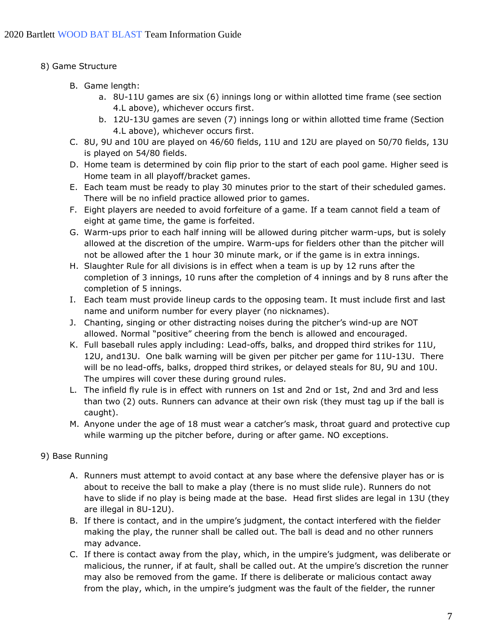- 8) Game Structure
	- B. Game length:
		- a. 8U-11U games are six (6) innings long or within allotted time frame (see section 4.L above), whichever occurs first.
		- b. 12U-13U games are seven (7) innings long or within allotted time frame (Section 4.L above), whichever occurs first.
	- C. 8U, 9U and 10U are played on 46/60 fields, 11U and 12U are played on 50/70 fields, 13U is played on 54/80 fields.
	- D. Home team is determined by coin flip prior to the start of each pool game. Higher seed is Home team in all playoff/bracket games.
	- E. Each team must be ready to play 30 minutes prior to the start of their scheduled games. There will be no infield practice allowed prior to games.
	- F. Eight players are needed to avoid forfeiture of a game. If a team cannot field a team of eight at game time, the game is forfeited.
	- G. Warm-ups prior to each half inning will be allowed during pitcher warm-ups, but is solely allowed at the discretion of the umpire. Warm-ups for fielders other than the pitcher will not be allowed after the 1 hour 30 minute mark, or if the game is in extra innings.
	- H. Slaughter Rule for all divisions is in effect when a team is up by 12 runs after the completion of 3 innings, 10 runs after the completion of 4 innings and by 8 runs after the completion of 5 innings.
	- I. Each team must provide lineup cards to the opposing team. It must include first and last name and uniform number for every player (no nicknames).
	- J. Chanting, singing or other distracting noises during the pitcher's wind-up are NOT allowed. Normal "positive" cheering from the bench is allowed and encouraged.
	- K. Full baseball rules apply including: Lead-offs, balks, and dropped third strikes for 11U, 12U, and13U. One balk warning will be given per pitcher per game for 11U-13U. There will be no lead-offs, balks, dropped third strikes, or delayed steals for 8U, 9U and 10U. The umpires will cover these during ground rules.
	- L. The infield fly rule is in effect with runners on 1st and 2nd or 1st, 2nd and 3rd and less than two (2) outs. Runners can advance at their own risk (they must tag up if the ball is caught).
	- M. Anyone under the age of 18 must wear a catcher's mask, throat guard and protective cup while warming up the pitcher before, during or after game. NO exceptions.
- 9) Base Running
	- A. Runners must attempt to avoid contact at any base where the defensive player has or is about to receive the ball to make a play (there is no must slide rule). Runners do not have to slide if no play is being made at the base. Head first slides are legal in 13U (they are illegal in 8U-12U).
	- B. If there is contact, and in the umpire's judgment, the contact interfered with the fielder making the play, the runner shall be called out. The ball is dead and no other runners may advance.
	- C. If there is contact away from the play, which, in the umpire's judgment, was deliberate or malicious, the runner, if at fault, shall be called out. At the umpire's discretion the runner may also be removed from the game. If there is deliberate or malicious contact away from the play, which, in the umpire's judgment was the fault of the fielder, the runner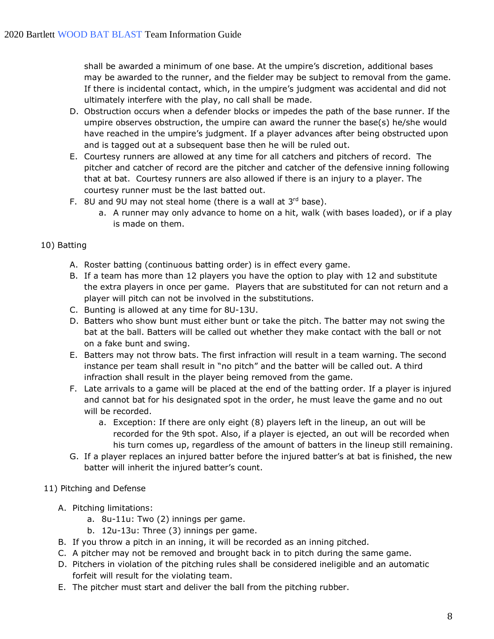shall be awarded a minimum of one base. At the umpire's discretion, additional bases may be awarded to the runner, and the fielder may be subject to removal from the game. If there is incidental contact, which, in the umpire's judgment was accidental and did not ultimately interfere with the play, no call shall be made.

- D. Obstruction occurs when a defender blocks or impedes the path of the base runner. If the umpire observes obstruction, the umpire can award the runner the base(s) he/she would have reached in the umpire's judgment. If a player advances after being obstructed upon and is tagged out at a subsequent base then he will be ruled out.
- E. Courtesy runners are allowed at any time for all catchers and pitchers of record. The pitcher and catcher of record are the pitcher and catcher of the defensive inning following that at bat. Courtesy runners are also allowed if there is an injury to a player. The courtesy runner must be the last batted out.
- F. 8U and 9U may not steal home (there is a wall at  $3^{rd}$  base).
	- a. A runner may only advance to home on a hit, walk (with bases loaded), or if a play is made on them.

# 10) Batting

- A. Roster batting (continuous batting order) is in effect every game.
- B. If a team has more than 12 players you have the option to play with 12 and substitute the extra players in once per game. Players that are substituted for can not return and a player will pitch can not be involved in the substitutions.
- C. Bunting is allowed at any time for 8U-13U.
- D. Batters who show bunt must either bunt or take the pitch. The batter may not swing the bat at the ball. Batters will be called out whether they make contact with the ball or not on a fake bunt and swing.
- E. Batters may not throw bats. The first infraction will result in a team warning. The second instance per team shall result in "no pitch" and the batter will be called out. A third infraction shall result in the player being removed from the game.
- F. Late arrivals to a game will be placed at the end of the batting order. If a player is injured and cannot bat for his designated spot in the order, he must leave the game and no out will be recorded.
	- a. Exception: If there are only eight (8) players left in the lineup, an out will be recorded for the 9th spot. Also, if a player is ejected, an out will be recorded when his turn comes up, regardless of the amount of batters in the lineup still remaining.
- G. If a player replaces an injured batter before the injured batter's at bat is finished, the new batter will inherit the injured batter's count.
- 11) Pitching and Defense
	- A. Pitching limitations:
		- a. 8u-11u: Two (2) innings per game.
		- b. 12u-13u: Three (3) innings per game.
	- B. If you throw a pitch in an inning, it will be recorded as an inning pitched.
	- C. A pitcher may not be removed and brought back in to pitch during the same game.
	- D. Pitchers in violation of the pitching rules shall be considered ineligible and an automatic forfeit will result for the violating team.
	- E. The pitcher must start and deliver the ball from the pitching rubber.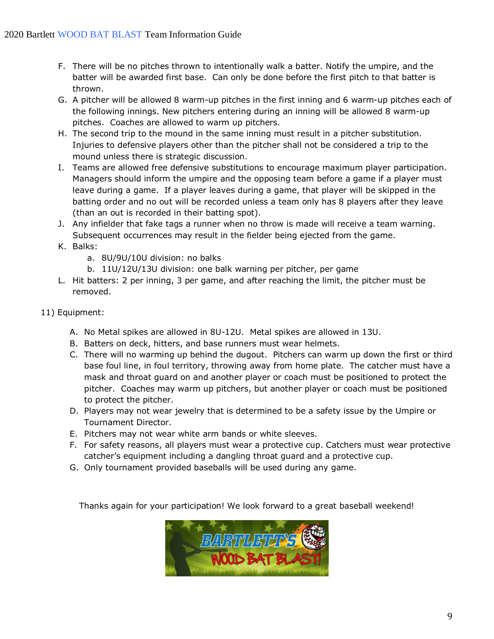- F. There will be no pitches thrown to intentionally walk a batter. Notify the umpire, and the batter will be awarded first base. Can only be done before the first pitch to that batter is thrown.
- G. A pitcher will be allowed 8 warm-up pitches in the first inning and 6 warm-up pitches each of the following innings. New pitchers entering during an inning will be allowed 8 warm-up pitches. Coaches are allowed to warm up pitchers.
- H. The second trip to the mound in the same inning must result in a pitcher substitution. Injuries to defensive players other than the pitcher shall not be considered a trip to the mound unless there is strategic discussion.
- I. Teams are allowed free defensive substitutions to encourage maximum player participation. Managers should inform the umpire and the opposing team before a game if a player must leave during a game. If a player leaves during a game, that player will be skipped in the batting order and no out will be recorded unless a team only has 8 players after they leave (than an out is recorded in their batting spot).
- J. Any infielder that fake tags a runner when no throw is made will receive a team warning. Subsequent occurrences may result in the fielder being ejected from the game.
- K. Balks:
	- a. 8U/9U/10U division: no balks
	- b. 11U/12U/13U division: one balk warning per pitcher, per game
- L. Hit batters: 2 per inning, 3 per game, and after reaching the limit, the pitcher must be removed.
- 11) Equipment:
	- A. No Metal spikes are allowed in 8U-12U. Metal spikes are allowed in 13U.
	- B. Batters on deck, hitters, and base runners must wear helmets.
	- C. There will no warming up behind the dugout. Pitchers can warm up down the first or third base foul line, in foul territory, throwing away from home plate. The catcher must have a mask and throat guard on and another player or coach must be positioned to protect the pitcher. Coaches may warm up pitchers, but another player or coach must be positioned to protect the pitcher.
	- D. Players may not wear jewelry that is determined to be a safety issue by the Umpire or Tournament Director.
	- E. Pitchers may not wear white arm bands or white sleeves.
	- F. For safety reasons, all players must wear a protective cup. Catchers must wear protective catcher's equipment including a dangling throat guard and a protective cup.
	- G. Only tournament provided baseballs will be used during any game.

Thanks again for your participation! We look forward to a great baseball weekend!

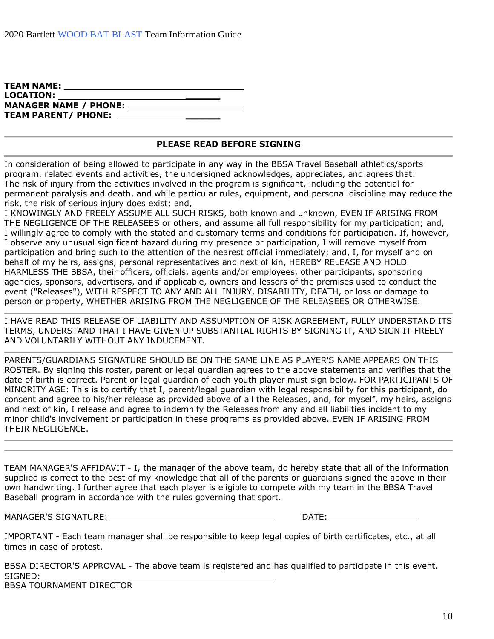| <b>TEAM NAME:</b>          |  |
|----------------------------|--|
| <b>LOCATION:</b>           |  |
|                            |  |
| <b>TEAM PARENT/ PHONE:</b> |  |
|                            |  |

#### **PLEASE READ BEFORE SIGNING**

In consideration of being allowed to participate in any way in the BBSA Travel Baseball athletics/sports program, related events and activities, the undersigned acknowledges, appreciates, and agrees that: The risk of injury from the activities involved in the program is significant, including the potential for permanent paralysis and death, and while particular rules, equipment, and personal discipline may reduce the risk, the risk of serious injury does exist; and,

I KNOWINGLY AND FREELY ASSUME ALL SUCH RISKS, both known and unknown, EVEN IF ARISING FROM THE NEGLIGENCE OF THE RELEASEES or others, and assume all full responsibility for my participation; and, I willingly agree to comply with the stated and customary terms and conditions for participation. If, however, I observe any unusual significant hazard during my presence or participation, I will remove myself from participation and bring such to the attention of the nearest official immediately; and, I, for myself and on behalf of my heirs, assigns, personal representatives and next of kin, HEREBY RELEASE AND HOLD HARMLESS THE BBSA, their officers, officials, agents and/or employees, other participants, sponsoring agencies, sponsors, advertisers, and if applicable, owners and lessors of the premises used to conduct the event ("Releases"), WITH RESPECT TO ANY AND ALL INJURY, DISABILITY, DEATH, or loss or damage to person or property, WHETHER ARISING FROM THE NEGLIGENCE OF THE RELEASEES OR OTHERWISE.

I HAVE READ THIS RELEASE OF LIABILITY AND ASSUMPTION OF RISK AGREEMENT, FULLY UNDERSTAND ITS TERMS, UNDERSTAND THAT I HAVE GIVEN UP SUBSTANTIAL RIGHTS BY SIGNING IT, AND SIGN IT FREELY AND VOLUNTARILY WITHOUT ANY INDUCEMENT.

PARENTS/GUARDIANS SIGNATURE SHOULD BE ON THE SAME LINE AS PLAYER'S NAME APPEARS ON THIS ROSTER. By signing this roster, parent or legal guardian agrees to the above statements and verifies that the date of birth is correct. Parent or legal guardian of each youth player must sign below. FOR PARTICIPANTS OF MINORITY AGE: This is to certify that I, parent/legal guardian with legal responsibility for this participant, do consent and agree to his/her release as provided above of all the Releases, and, for myself, my heirs, assigns and next of kin, I release and agree to indemnify the Releases from any and all liabilities incident to my minor child's involvement or participation in these programs as provided above. EVEN IF ARISING FROM THEIR NEGLIGENCE.

TEAM MANAGER'S AFFIDAVIT - I, the manager of the above team, do hereby state that all of the information supplied is correct to the best of my knowledge that all of the parents or guardians signed the above in their own handwriting. I further agree that each player is eligible to compete with my team in the BBSA Travel Baseball program in accordance with the rules governing that sport.

MANAGER'S SIGNATURE: DATE:

| ٦٨<br><b>ノハ ㄴ.</b> |  |
|--------------------|--|
|                    |  |

IMPORTANT - Each team manager shall be responsible to keep legal copies of birth certificates, etc., at all times in case of protest.

BBSA DIRECTOR'S APPROVAL - The above team is registered and has qualified to participate in this event. SIGNED:

BBSA TOURNAMENT DIRECTOR